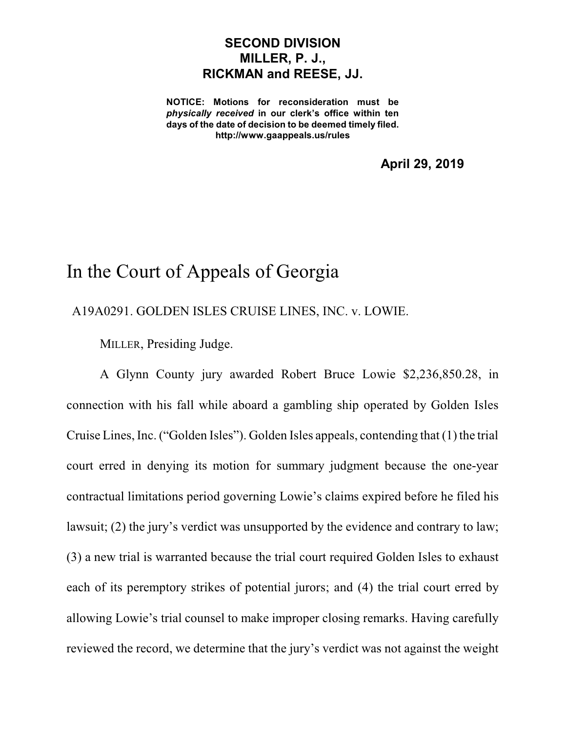## **SECOND DIVISION MILLER, P. J., RICKMAN and REESE, JJ.**

**NOTICE: Motions for reconsideration must be** *physically received* **in our clerk's office within ten days of the date of decision to be deemed timely filed. http://www.gaappeals.us/rules**

**April 29, 2019**

## In the Court of Appeals of Georgia

A19A0291. GOLDEN ISLES CRUISE LINES, INC. v. LOWIE.

MILLER, Presiding Judge.

A Glynn County jury awarded Robert Bruce Lowie \$2,236,850.28, in connection with his fall while aboard a gambling ship operated by Golden Isles Cruise Lines, Inc. ("Golden Isles"). Golden Isles appeals, contending that (1) the trial court erred in denying its motion for summary judgment because the one-year contractual limitations period governing Lowie's claims expired before he filed his lawsuit; (2) the jury's verdict was unsupported by the evidence and contrary to law; (3) a new trial is warranted because the trial court required Golden Isles to exhaust each of its peremptory strikes of potential jurors; and (4) the trial court erred by allowing Lowie's trial counsel to make improper closing remarks. Having carefully reviewed the record, we determine that the jury's verdict was not against the weight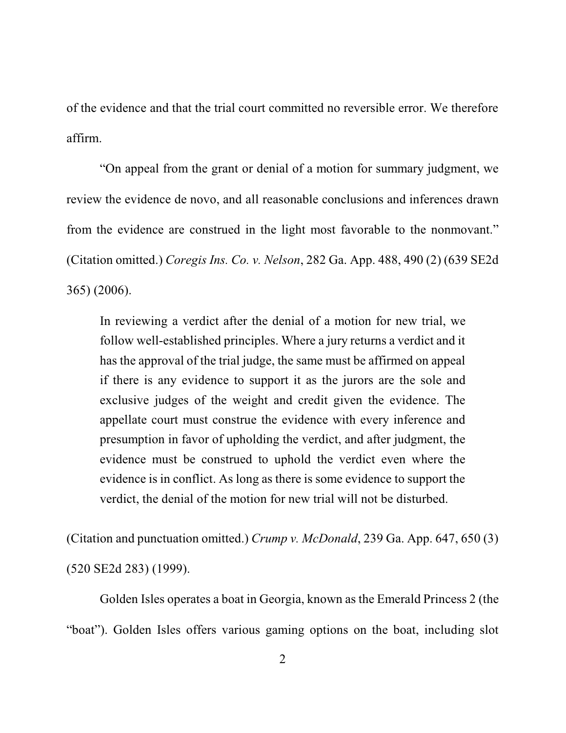of the evidence and that the trial court committed no reversible error. We therefore affirm.

"On appeal from the grant or denial of a motion for summary judgment, we review the evidence de novo, and all reasonable conclusions and inferences drawn from the evidence are construed in the light most favorable to the nonmovant." (Citation omitted.) *Coregis Ins. Co. v. Nelson*, 282 Ga. App. 488, 490 (2) (639 SE2d 365) (2006).

In reviewing a verdict after the denial of a motion for new trial, we follow well-established principles. Where a jury returns a verdict and it has the approval of the trial judge, the same must be affirmed on appeal if there is any evidence to support it as the jurors are the sole and exclusive judges of the weight and credit given the evidence. The appellate court must construe the evidence with every inference and presumption in favor of upholding the verdict, and after judgment, the evidence must be construed to uphold the verdict even where the evidence is in conflict. As long as there is some evidence to support the verdict, the denial of the motion for new trial will not be disturbed.

(Citation and punctuation omitted.) *Crump v. McDonald*, 239 Ga. App. 647, 650 (3) (520 SE2d 283) (1999).

Golden Isles operates a boat in Georgia, known as the Emerald Princess 2 (the "boat"). Golden Isles offers various gaming options on the boat, including slot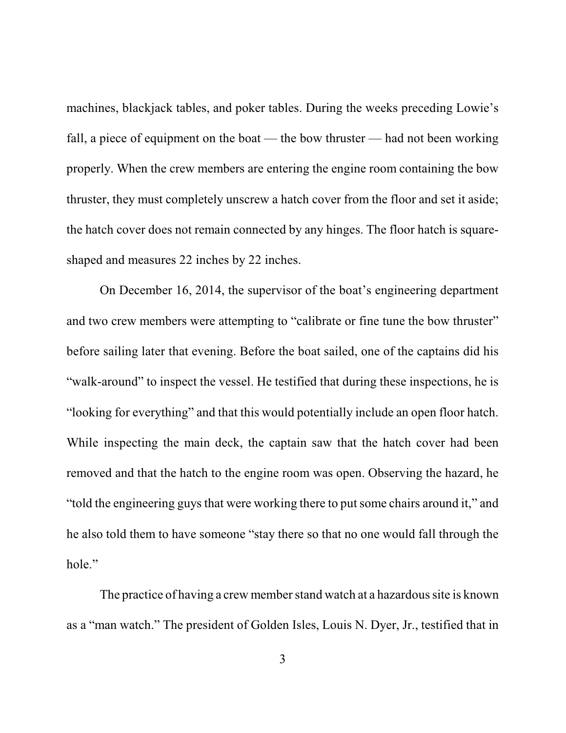machines, blackjack tables, and poker tables. During the weeks preceding Lowie's fall, a piece of equipment on the boat — the bow thruster — had not been working properly. When the crew members are entering the engine room containing the bow thruster, they must completely unscrew a hatch cover from the floor and set it aside; the hatch cover does not remain connected by any hinges. The floor hatch is squareshaped and measures 22 inches by 22 inches.

On December 16, 2014, the supervisor of the boat's engineering department and two crew members were attempting to "calibrate or fine tune the bow thruster" before sailing later that evening. Before the boat sailed, one of the captains did his "walk-around" to inspect the vessel. He testified that during these inspections, he is "looking for everything" and that this would potentially include an open floor hatch. While inspecting the main deck, the captain saw that the hatch cover had been removed and that the hatch to the engine room was open. Observing the hazard, he "told the engineering guys that were working there to putsome chairs around it," and he also told them to have someone "stay there so that no one would fall through the hole."

The practice of having a crew member stand watch at a hazardous site is known as a "man watch." The president of Golden Isles, Louis N. Dyer, Jr., testified that in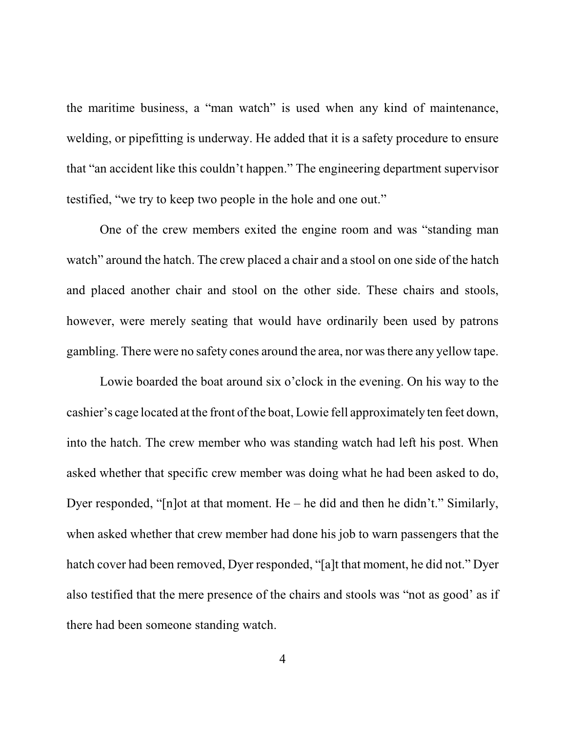the maritime business, a "man watch" is used when any kind of maintenance, welding, or pipefitting is underway. He added that it is a safety procedure to ensure that "an accident like this couldn't happen." The engineering department supervisor testified, "we try to keep two people in the hole and one out."

One of the crew members exited the engine room and was "standing man watch" around the hatch. The crew placed a chair and a stool on one side of the hatch and placed another chair and stool on the other side. These chairs and stools, however, were merely seating that would have ordinarily been used by patrons gambling. There were no safety cones around the area, nor wasthere any yellow tape.

Lowie boarded the boat around six o'clock in the evening. On his way to the cashier's cage located at the front of the boat, Lowie fell approximately ten feet down, into the hatch. The crew member who was standing watch had left his post. When asked whether that specific crew member was doing what he had been asked to do, Dyer responded, "[n]ot at that moment. He – he did and then he didn't." Similarly, when asked whether that crew member had done his job to warn passengers that the hatch cover had been removed, Dyer responded, "[a]t that moment, he did not." Dyer also testified that the mere presence of the chairs and stools was "not as good' as if there had been someone standing watch.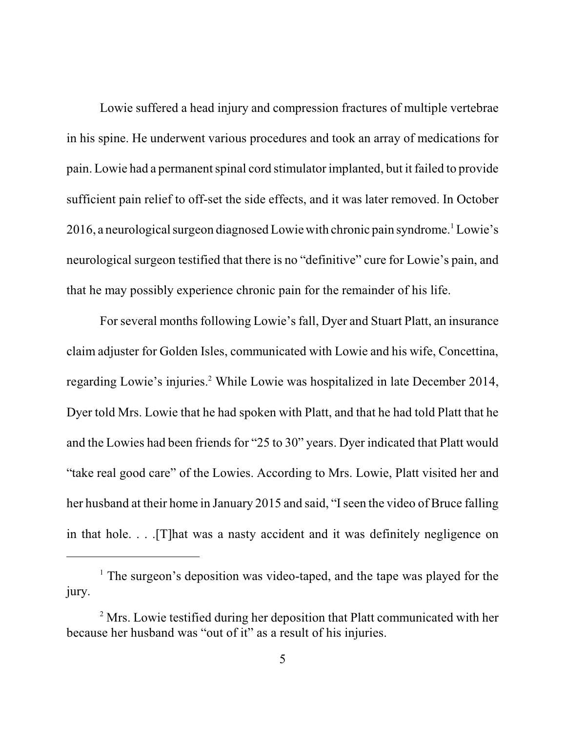Lowie suffered a head injury and compression fractures of multiple vertebrae in his spine. He underwent various procedures and took an array of medications for pain. Lowie had a permanent spinal cord stimulator implanted, but it failed to provide sufficient pain relief to off-set the side effects, and it was later removed. In October  $2016$ , a neurological surgeon diagnosed Lowie with chronic pain syndrome.<sup>1</sup> Lowie's neurological surgeon testified that there is no "definitive" cure for Lowie's pain, and that he may possibly experience chronic pain for the remainder of his life.

For several months following Lowie's fall, Dyer and Stuart Platt, an insurance claim adjuster for Golden Isles, communicated with Lowie and his wife, Concettina, regarding Lowie's injuries. <sup>2</sup> While Lowie was hospitalized in late December 2014, Dyer told Mrs. Lowie that he had spoken with Platt, and that he had told Platt that he and the Lowies had been friends for "25 to 30" years. Dyer indicated that Platt would "take real good care" of the Lowies. According to Mrs. Lowie, Platt visited her and her husband at their home in January 2015 and said, "I seen the video of Bruce falling in that hole. . . .[T]hat was a nasty accident and it was definitely negligence on

<sup>&</sup>lt;sup>1</sup> The surgeon's deposition was video-taped, and the tape was played for the jury.

<sup>&</sup>lt;sup>2</sup> Mrs. Lowie testified during her deposition that Platt communicated with her because her husband was "out of it" as a result of his injuries.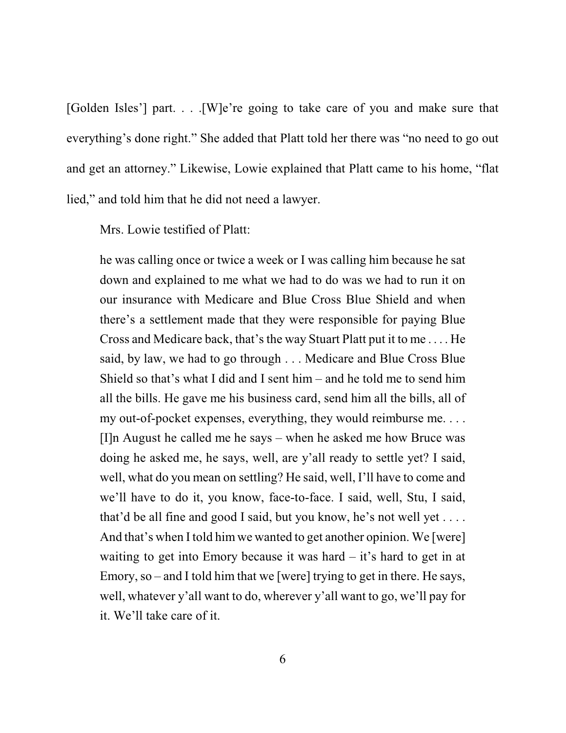[Golden Isles'] part. . . .[W]e're going to take care of you and make sure that everything's done right." She added that Platt told her there was "no need to go out and get an attorney." Likewise, Lowie explained that Platt came to his home, "flat lied," and told him that he did not need a lawyer.

Mrs. Lowie testified of Platt:

he was calling once or twice a week or I was calling him because he sat down and explained to me what we had to do was we had to run it on our insurance with Medicare and Blue Cross Blue Shield and when there's a settlement made that they were responsible for paying Blue Cross and Medicare back, that's the way Stuart Platt put it to me . . . . He said, by law, we had to go through . . . Medicare and Blue Cross Blue Shield so that's what I did and I sent him – and he told me to send him all the bills. He gave me his business card, send him all the bills, all of my out-of-pocket expenses, everything, they would reimburse me. . . . [I]n August he called me he says – when he asked me how Bruce was doing he asked me, he says, well, are y'all ready to settle yet? I said, well, what do you mean on settling? He said, well, I'll have to come and we'll have to do it, you know, face-to-face. I said, well, Stu, I said, that'd be all fine and good I said, but you know, he's not well yet . . . . And that's when I told him we wanted to get another opinion. We [were] waiting to get into Emory because it was hard – it's hard to get in at Emory, so – and I told him that we [were] trying to get in there. He says, well, whatever y'all want to do, wherever y'all want to go, we'll pay for it. We'll take care of it.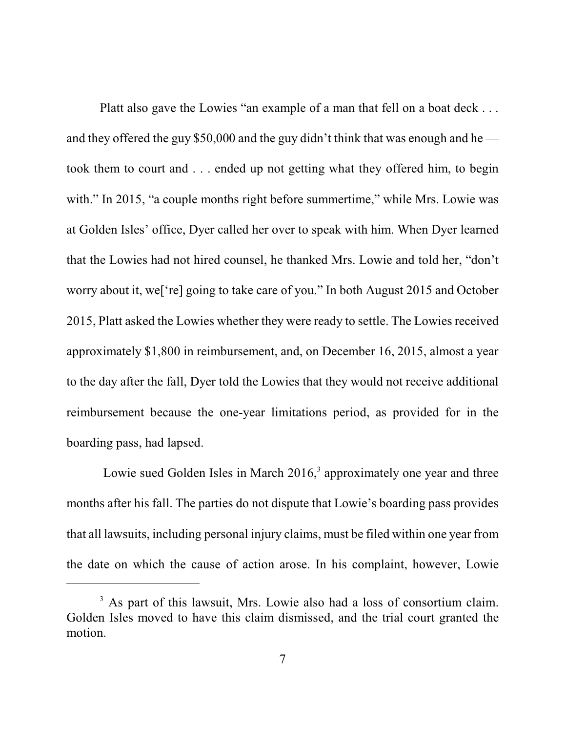Platt also gave the Lowies "an example of a man that fell on a boat deck . . . and they offered the guy \$50,000 and the guy didn't think that was enough and he took them to court and . . . ended up not getting what they offered him, to begin with." In 2015, "a couple months right before summertime," while Mrs. Lowie was at Golden Isles' office, Dyer called her over to speak with him. When Dyer learned that the Lowies had not hired counsel, he thanked Mrs. Lowie and told her, "don't worry about it, we['re] going to take care of you." In both August 2015 and October 2015, Platt asked the Lowies whether they were ready to settle. The Lowies received approximately \$1,800 in reimbursement, and, on December 16, 2015, almost a year to the day after the fall, Dyer told the Lowies that they would not receive additional reimbursement because the one-year limitations period, as provided for in the boarding pass, had lapsed.

Lowie sued Golden Isles in March 2016,<sup>3</sup> approximately one year and three months after his fall. The parties do not dispute that Lowie's boarding pass provides that all lawsuits, including personal injury claims, must be filed within one year from the date on which the cause of action arose. In his complaint, however, Lowie

<sup>&</sup>lt;sup>3</sup> As part of this lawsuit, Mrs. Lowie also had a loss of consortium claim. Golden Isles moved to have this claim dismissed, and the trial court granted the motion.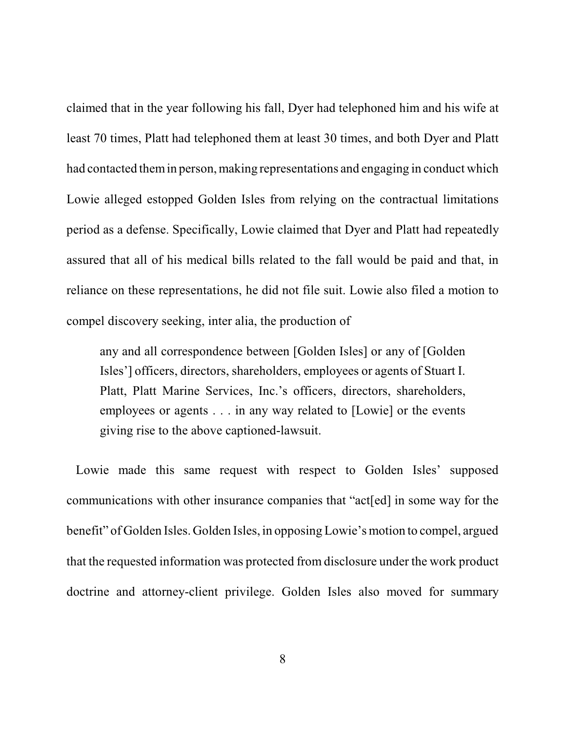claimed that in the year following his fall, Dyer had telephoned him and his wife at least 70 times, Platt had telephoned them at least 30 times, and both Dyer and Platt had contacted themin person, making representations and engaging in conduct which Lowie alleged estopped Golden Isles from relying on the contractual limitations period as a defense. Specifically, Lowie claimed that Dyer and Platt had repeatedly assured that all of his medical bills related to the fall would be paid and that, in reliance on these representations, he did not file suit. Lowie also filed a motion to compel discovery seeking, inter alia, the production of

any and all correspondence between [Golden Isles] or any of [Golden Isles'] officers, directors, shareholders, employees or agents of Stuart I. Platt, Platt Marine Services, Inc.'s officers, directors, shareholders, employees or agents . . . in any way related to [Lowie] or the events giving rise to the above captioned-lawsuit.

Lowie made this same request with respect to Golden Isles' supposed communications with other insurance companies that "act[ed] in some way for the benefit" of Golden Isles. Golden Isles, in opposing Lowie's motion to compel, argued that the requested information was protected from disclosure under the work product doctrine and attorney-client privilege. Golden Isles also moved for summary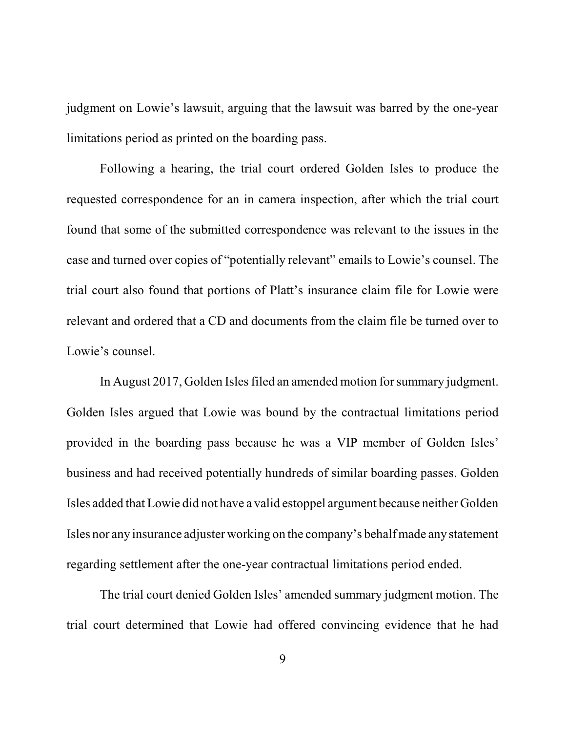judgment on Lowie's lawsuit, arguing that the lawsuit was barred by the one-year limitations period as printed on the boarding pass.

Following a hearing, the trial court ordered Golden Isles to produce the requested correspondence for an in camera inspection, after which the trial court found that some of the submitted correspondence was relevant to the issues in the case and turned over copies of "potentially relevant" emails to Lowie's counsel. The trial court also found that portions of Platt's insurance claim file for Lowie were relevant and ordered that a CD and documents from the claim file be turned over to Lowie's counsel.

In August 2017, Golden Islesfiled an amended motion for summary judgment. Golden Isles argued that Lowie was bound by the contractual limitations period provided in the boarding pass because he was a VIP member of Golden Isles' business and had received potentially hundreds of similar boarding passes. Golden Isles added that Lowie did not have a valid estoppel argument because neither Golden Isles nor any insurance adjuster working on the company's behalf made any statement regarding settlement after the one-year contractual limitations period ended.

The trial court denied Golden Isles' amended summary judgment motion. The trial court determined that Lowie had offered convincing evidence that he had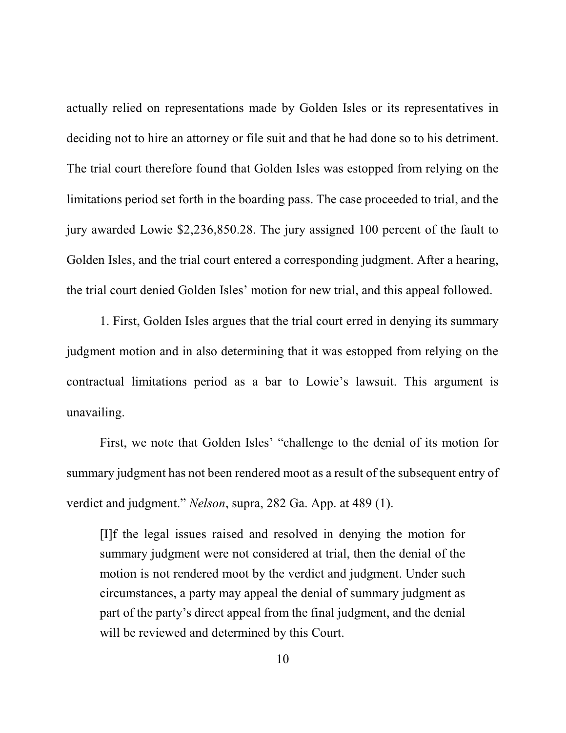actually relied on representations made by Golden Isles or its representatives in deciding not to hire an attorney or file suit and that he had done so to his detriment. The trial court therefore found that Golden Isles was estopped from relying on the limitations period set forth in the boarding pass. The case proceeded to trial, and the jury awarded Lowie \$2,236,850.28. The jury assigned 100 percent of the fault to Golden Isles, and the trial court entered a corresponding judgment. After a hearing, the trial court denied Golden Isles' motion for new trial, and this appeal followed.

1. First, Golden Isles argues that the trial court erred in denying its summary judgment motion and in also determining that it was estopped from relying on the contractual limitations period as a bar to Lowie's lawsuit. This argument is unavailing.

First, we note that Golden Isles' "challenge to the denial of its motion for summary judgment has not been rendered moot as a result of the subsequent entry of verdict and judgment." *Nelson*, supra, 282 Ga. App. at 489 (1).

[I]f the legal issues raised and resolved in denying the motion for summary judgment were not considered at trial, then the denial of the motion is not rendered moot by the verdict and judgment. Under such circumstances, a party may appeal the denial of summary judgment as part of the party's direct appeal from the final judgment, and the denial will be reviewed and determined by this Court.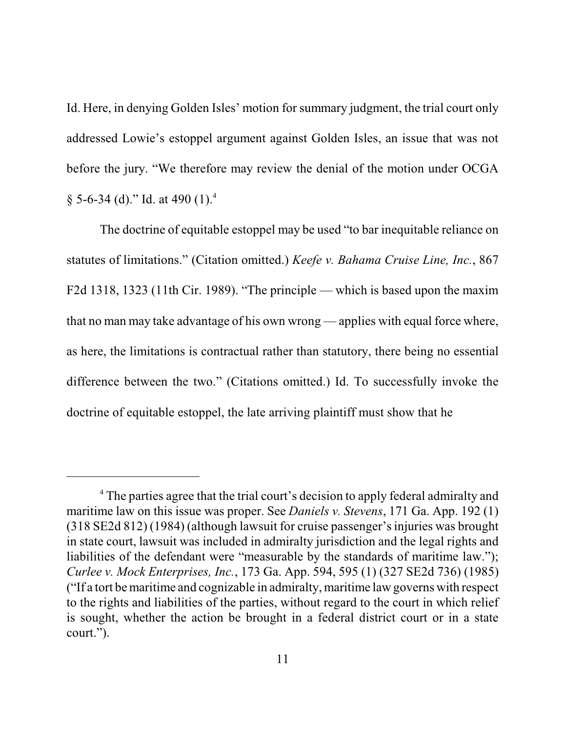Id. Here, in denying Golden Isles' motion for summary judgment, the trial court only addressed Lowie's estoppel argument against Golden Isles, an issue that was not before the jury. "We therefore may review the denial of the motion under OCGA  $§ 5-6-34$  (d)." Id. at 490 (1).<sup>4</sup>

The doctrine of equitable estoppel may be used "to bar inequitable reliance on statutes of limitations." (Citation omitted.) *Keefe v. Bahama Cruise Line, Inc.*, 867 F2d 1318, 1323 (11th Cir. 1989). "The principle — which is based upon the maxim that no man may take advantage of his own wrong — applies with equal force where, as here, the limitations is contractual rather than statutory, there being no essential difference between the two." (Citations omitted.) Id. To successfully invoke the doctrine of equitable estoppel, the late arriving plaintiff must show that he

<sup>&</sup>lt;sup>4</sup> The parties agree that the trial court's decision to apply federal admiralty and maritime law on this issue was proper. See *Daniels v. Stevens*, 171 Ga. App. 192 (1) (318 SE2d 812) (1984) (although lawsuit for cruise passenger'sinjuries was brought in state court, lawsuit was included in admiralty jurisdiction and the legal rights and liabilities of the defendant were "measurable by the standards of maritime law."); *Curlee v. Mock Enterprises, Inc.*, 173 Ga. App. 594, 595 (1) (327 SE2d 736) (1985) ("If a tort be maritime and cognizable in admiralty, maritime law governs with respect to the rights and liabilities of the parties, without regard to the court in which relief is sought, whether the action be brought in a federal district court or in a state court.").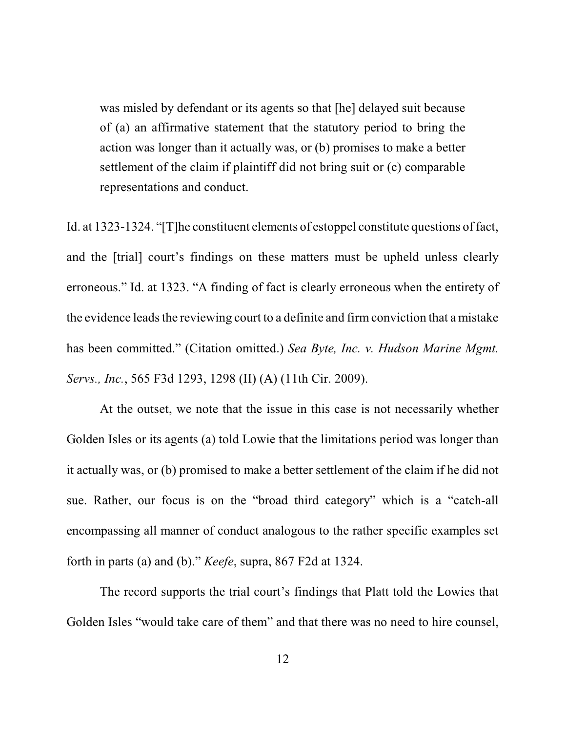was misled by defendant or its agents so that [he] delayed suit because of (a) an affirmative statement that the statutory period to bring the action was longer than it actually was, or (b) promises to make a better settlement of the claim if plaintiff did not bring suit or (c) comparable representations and conduct.

Id. at 1323-1324. "[T]he constituent elements of estoppel constitute questions of fact, and the [trial] court's findings on these matters must be upheld unless clearly erroneous." Id. at 1323. "A finding of fact is clearly erroneous when the entirety of the evidence leads the reviewing court to a definite and firm conviction that a mistake has been committed." (Citation omitted.) *Sea Byte, Inc. v. Hudson Marine Mgmt. Servs., Inc.*, 565 F3d 1293, 1298 (II) (A) (11th Cir. 2009).

At the outset, we note that the issue in this case is not necessarily whether Golden Isles or its agents (a) told Lowie that the limitations period was longer than it actually was, or (b) promised to make a better settlement of the claim if he did not sue. Rather, our focus is on the "broad third category" which is a "catch-all encompassing all manner of conduct analogous to the rather specific examples set forth in parts (a) and (b)." *Keefe*, supra, 867 F2d at 1324.

The record supports the trial court's findings that Platt told the Lowies that Golden Isles "would take care of them" and that there was no need to hire counsel,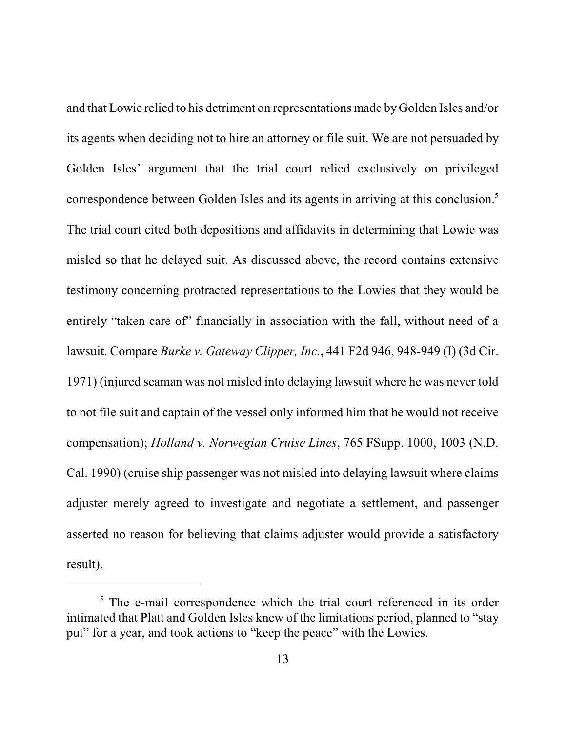and that Lowie relied to his detriment on representations made by Golden Isles and/or its agents when deciding not to hire an attorney or file suit. We are not persuaded by Golden Isles' argument that the trial court relied exclusively on privileged correspondence between Golden Isles and its agents in arriving at this conclusion. 5 The trial court cited both depositions and affidavits in determining that Lowie was misled so that he delayed suit. As discussed above, the record contains extensive testimony concerning protracted representations to the Lowies that they would be entirely "taken care of" financially in association with the fall, without need of a lawsuit. Compare *Burke v. Gateway Clipper, Inc.*, 441 F2d 946, 948-949 (I) (3d Cir. 1971) (injured seaman was not misled into delaying lawsuit where he was never told to not file suit and captain of the vessel only informed him that he would not receive compensation); *Holland v. Norwegian Cruise Lines*, 765 FSupp. 1000, 1003 (N.D. Cal. 1990) (cruise ship passenger was not misled into delaying lawsuit where claims adjuster merely agreed to investigate and negotiate a settlement, and passenger asserted no reason for believing that claims adjuster would provide a satisfactory result).

<sup>&</sup>lt;sup>5</sup> The e-mail correspondence which the trial court referenced in its order intimated that Platt and Golden Isles knew of the limitations period, planned to "stay put" for a year, and took actions to "keep the peace" with the Lowies.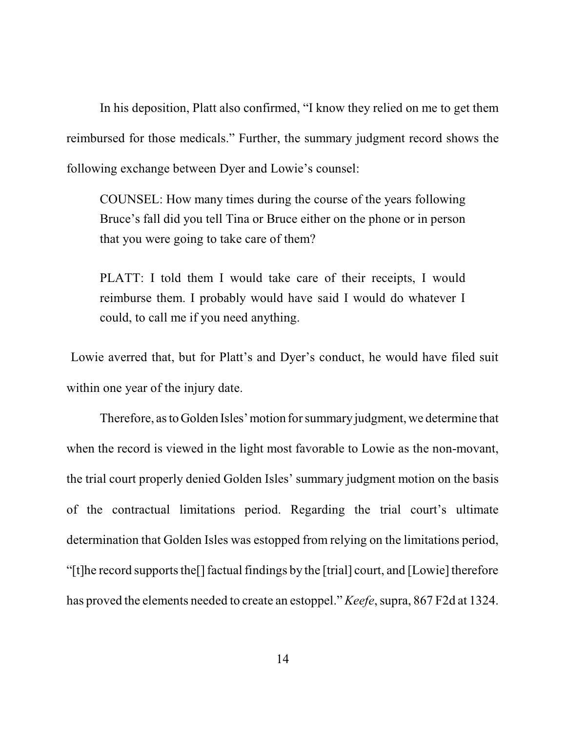In his deposition, Platt also confirmed, "I know they relied on me to get them reimbursed for those medicals." Further, the summary judgment record shows the following exchange between Dyer and Lowie's counsel:

COUNSEL: How many times during the course of the years following Bruce's fall did you tell Tina or Bruce either on the phone or in person that you were going to take care of them?

PLATT: I told them I would take care of their receipts, I would reimburse them. I probably would have said I would do whatever I could, to call me if you need anything.

Lowie averred that, but for Platt's and Dyer's conduct, he would have filed suit within one year of the injury date.

Therefore, asto Golden Isles'motion for summary judgment, we determine that when the record is viewed in the light most favorable to Lowie as the non-movant, the trial court properly denied Golden Isles' summary judgment motion on the basis of the contractual limitations period. Regarding the trial court's ultimate determination that Golden Isles was estopped from relying on the limitations period, " $[t]$ he record supports the $[]$  factual findings by the  $[trial]$  court, and  $[Lowie]$  therefore has proved the elements needed to create an estoppel." *Keefe*, supra, 867 F2d at 1324.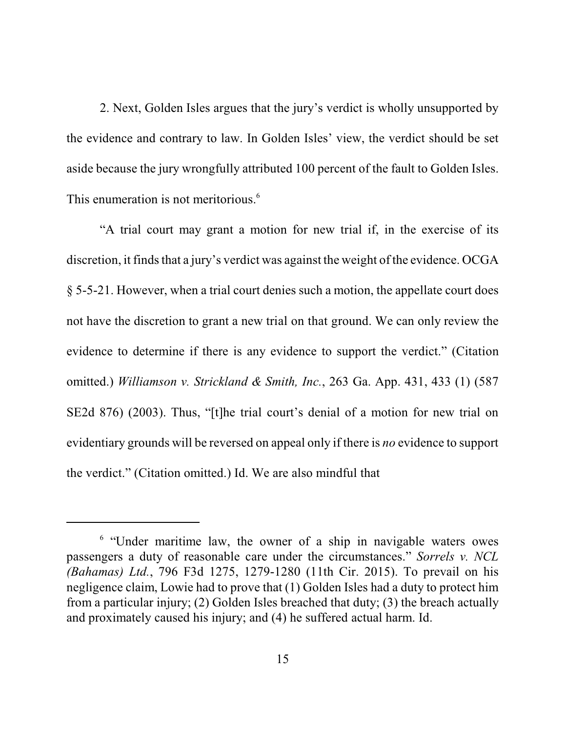2. Next, Golden Isles argues that the jury's verdict is wholly unsupported by the evidence and contrary to law. In Golden Isles' view, the verdict should be set aside because the jury wrongfully attributed 100 percent of the fault to Golden Isles. This enumeration is not meritorious. 6

"A trial court may grant a motion for new trial if, in the exercise of its discretion, it finds that a jury's verdict was against the weight of the evidence. OCGA § 5-5-21. However, when a trial court denies such a motion, the appellate court does not have the discretion to grant a new trial on that ground. We can only review the evidence to determine if there is any evidence to support the verdict." (Citation omitted.) *Williamson v. Strickland & Smith, Inc.*, 263 Ga. App. 431, 433 (1) (587 SE2d 876) (2003). Thus, "[t]he trial court's denial of a motion for new trial on evidentiary grounds will be reversed on appeal only if there is *no* evidence to support the verdict." (Citation omitted.) Id. We are also mindful that

<sup>&</sup>lt;sup>6</sup> "Under maritime law, the owner of a ship in navigable waters owes passengers a duty of reasonable care under the circumstances." *Sorrels v. NCL (Bahamas) Ltd.*, 796 F3d 1275, 1279-1280 (11th Cir. 2015). To prevail on his negligence claim, Lowie had to prove that (1) Golden Isles had a duty to protect him from a particular injury; (2) Golden Isles breached that duty; (3) the breach actually and proximately caused his injury; and (4) he suffered actual harm. Id.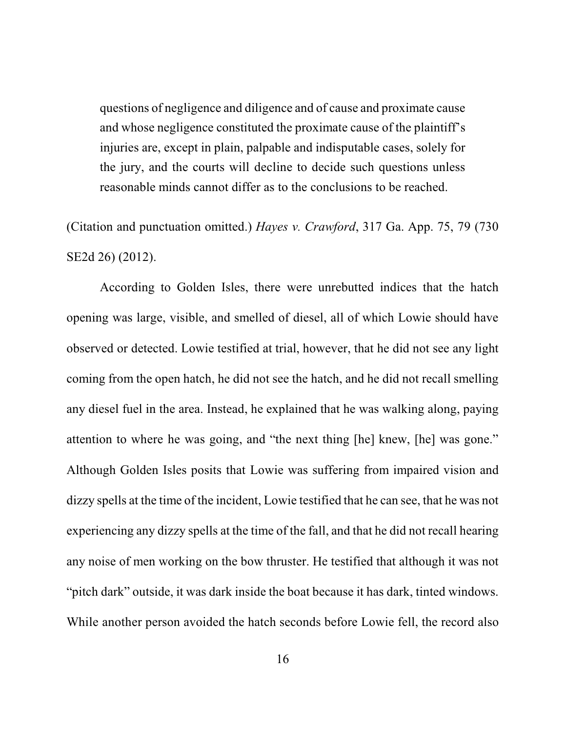questions of negligence and diligence and of cause and proximate cause and whose negligence constituted the proximate cause of the plaintiff's injuries are, except in plain, palpable and indisputable cases, solely for the jury, and the courts will decline to decide such questions unless reasonable minds cannot differ as to the conclusions to be reached.

(Citation and punctuation omitted.) *Hayes v. Crawford*, 317 Ga. App. 75, 79 (730 SE2d 26) (2012).

According to Golden Isles, there were unrebutted indices that the hatch opening was large, visible, and smelled of diesel, all of which Lowie should have observed or detected. Lowie testified at trial, however, that he did not see any light coming from the open hatch, he did not see the hatch, and he did not recall smelling any diesel fuel in the area. Instead, he explained that he was walking along, paying attention to where he was going, and "the next thing [he] knew, [he] was gone." Although Golden Isles posits that Lowie was suffering from impaired vision and dizzy spells at the time of the incident, Lowie testified that he can see, that he was not experiencing any dizzy spells at the time of the fall, and that he did not recall hearing any noise of men working on the bow thruster. He testified that although it was not "pitch dark" outside, it was dark inside the boat because it has dark, tinted windows. While another person avoided the hatch seconds before Lowie fell, the record also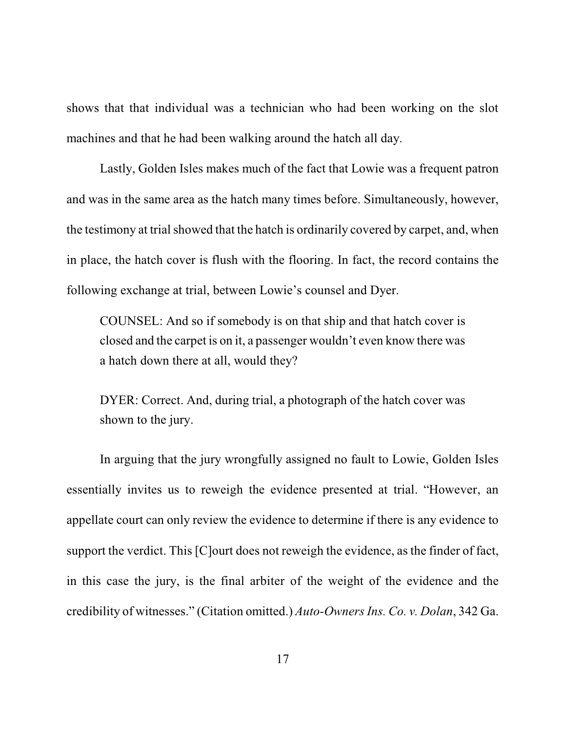shows that that individual was a technician who had been working on the slot machines and that he had been walking around the hatch all day.

Lastly, Golden Isles makes much of the fact that Lowie was a frequent patron and was in the same area as the hatch many times before. Simultaneously, however, the testimony at trial showed that the hatch is ordinarily covered by carpet, and, when in place, the hatch cover is flush with the flooring. In fact, the record contains the following exchange at trial, between Lowie's counsel and Dyer.

COUNSEL: And so if somebody is on that ship and that hatch cover is closed and the carpet is on it, a passenger wouldn't even know there was a hatch down there at all, would they?

DYER: Correct. And, during trial, a photograph of the hatch cover was shown to the jury.

In arguing that the jury wrongfully assigned no fault to Lowie, Golden Isles essentially invites us to reweigh the evidence presented at trial. "However, an appellate court can only review the evidence to determine if there is any evidence to support the verdict. This [C]ourt does not reweigh the evidence, as the finder of fact, in this case the jury, is the final arbiter of the weight of the evidence and the credibility of witnesses." (Citation omitted.) *Auto-OwnersIns. Co. v. Dolan*, 342 Ga.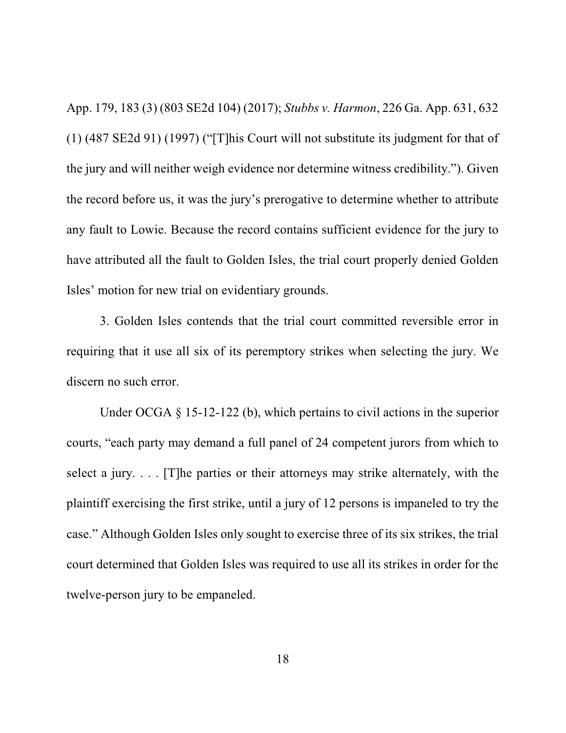App. 179, 183 (3) (803 SE2d 104) (2017); *Stubbs v. Harmon*, 226 Ga. App. 631, 632 (1) (487 SE2d 91) (1997) ("[T]his Court will not substitute its judgment for that of the jury and will neither weigh evidence nor determine witness credibility."). Given the record before us, it was the jury's prerogative to determine whether to attribute any fault to Lowie. Because the record contains sufficient evidence for the jury to have attributed all the fault to Golden Isles, the trial court properly denied Golden Isles' motion for new trial on evidentiary grounds.

3. Golden Isles contends that the trial court committed reversible error in requiring that it use all six of its peremptory strikes when selecting the jury. We discern no such error.

Under OCGA  $\S$  15-12-122 (b), which pertains to civil actions in the superior courts, "each party may demand a full panel of 24 competent jurors from which to select a jury. . . . [T]he parties or their attorneys may strike alternately, with the plaintiff exercising the first strike, until a jury of 12 persons is impaneled to try the case." Although Golden Isles only sought to exercise three of its six strikes, the trial court determined that Golden Isles was required to use all its strikes in order for the twelve-person jury to be empaneled.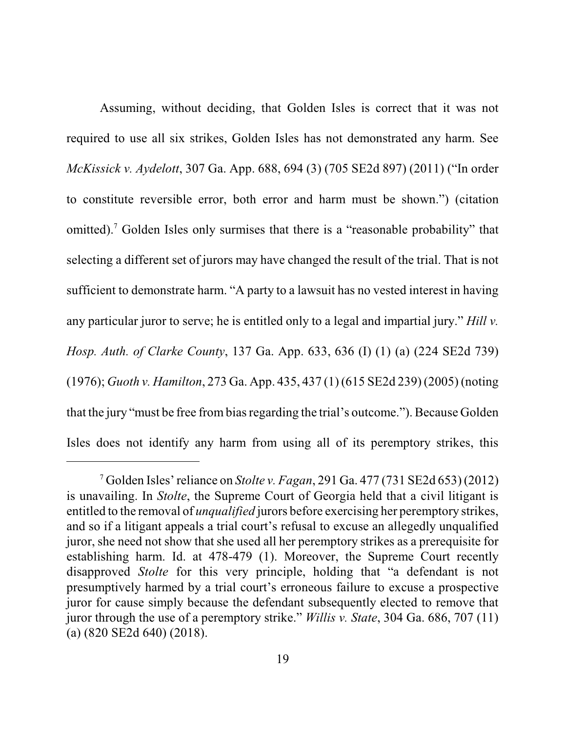Assuming, without deciding, that Golden Isles is correct that it was not required to use all six strikes, Golden Isles has not demonstrated any harm. See *McKissick v. Aydelott*, 307 Ga. App. 688, 694 (3) (705 SE2d 897) (2011) ("In order to constitute reversible error, both error and harm must be shown.") (citation omitted).<sup>7</sup> Golden Isles only surmises that there is a "reasonable probability" that selecting a different set of jurors may have changed the result of the trial. That is not sufficient to demonstrate harm. "A party to a lawsuit has no vested interest in having any particular juror to serve; he is entitled only to a legal and impartial jury." *Hill v. Hosp. Auth. of Clarke County*, 137 Ga. App. 633, 636 (I) (1) (a) (224 SE2d 739) (1976); *Guoth v. Hamilton*, 273 Ga. App. 435, 437 (1) (615 SE2d 239) (2005) (noting that the jury "must be free from biasregarding the trial's outcome."). Because Golden Isles does not identify any harm from using all of its peremptory strikes, this

<sup>7</sup> Golden Isles'reliance on *Stolte v. Fagan*, 291 Ga. 477 (731 SE2d 653) (2012) is unavailing. In *Stolte*, the Supreme Court of Georgia held that a civil litigant is entitled to the removal of *unqualified* jurors before exercising her peremptory strikes, and so if a litigant appeals a trial court's refusal to excuse an allegedly unqualified juror, she need not show that she used all her peremptory strikes as a prerequisite for establishing harm. Id. at 478-479 (1). Moreover, the Supreme Court recently disapproved *Stolte* for this very principle, holding that "a defendant is not presumptively harmed by a trial court's erroneous failure to excuse a prospective juror for cause simply because the defendant subsequently elected to remove that juror through the use of a peremptory strike." *Willis v. State*, 304 Ga. 686, 707 (11) (a) (820 SE2d 640) (2018).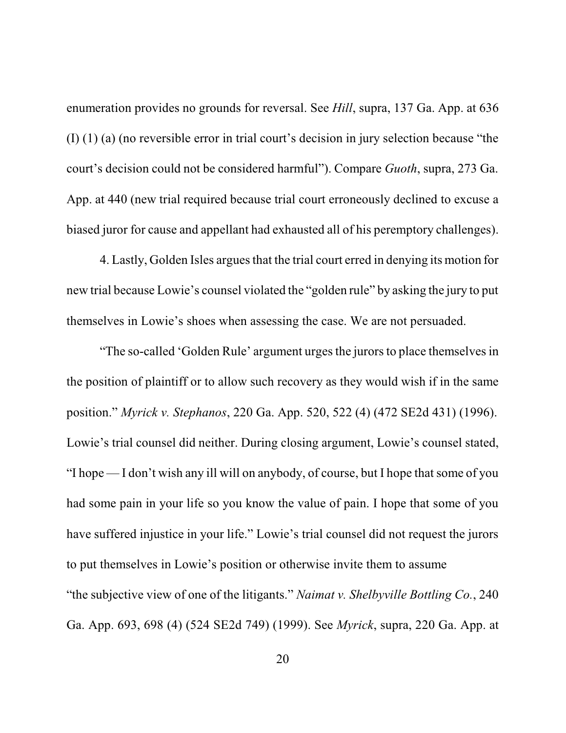enumeration provides no grounds for reversal. See *Hill*, supra, 137 Ga. App. at 636 (I) (1) (a) (no reversible error in trial court's decision in jury selection because "the court's decision could not be considered harmful"). Compare *Guoth*, supra, 273 Ga. App. at 440 (new trial required because trial court erroneously declined to excuse a biased juror for cause and appellant had exhausted all of his peremptory challenges).

4. Lastly, Golden Isles arguesthat the trial court erred in denying its motion for new trial because Lowie's counsel violated the "golden rule" by asking the jury to put themselves in Lowie's shoes when assessing the case. We are not persuaded.

"The so-called 'Golden Rule' argument urges the jurors to place themselves in the position of plaintiff or to allow such recovery as they would wish if in the same position." *Myrick v. Stephanos*, 220 Ga. App. 520, 522 (4) (472 SE2d 431) (1996). Lowie's trial counsel did neither. During closing argument, Lowie's counsel stated, "I hope — I don't wish any ill will on anybody, of course, but I hope thatsome of you had some pain in your life so you know the value of pain. I hope that some of you have suffered injustice in your life." Lowie's trial counsel did not request the jurors to put themselves in Lowie's position or otherwise invite them to assume "the subjective view of one of the litigants." *Naimat v. Shelbyville Bottling Co.*, 240 Ga. App. 693, 698 (4) (524 SE2d 749) (1999). See *Myrick*, supra, 220 Ga. App. at